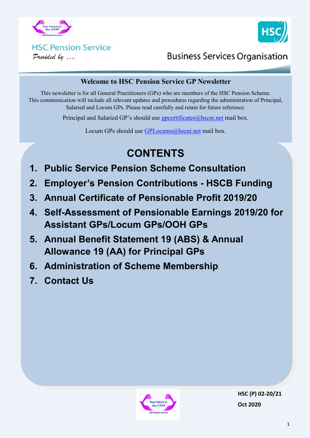



### **HSC Pension Service** Provided by ....

**Business Services Organisation** 

#### **Welcome to HSC Pension Service GP Newsletter**

This newsletter is for all General Practitioners (GPs) who are members of the HSC Pension Scheme. This communication will include all relevant updates and procedures regarding the administration of Principal, Salaried and Locum GPs. Please read carefully and retain for future reference.

Principal and Salaried GP's should use [gpcertificates@hscni.net](mailto:gpcertificates@hscni.net) mail box.

Locum GPs should use [GPLocums@hscni.net](mailto:GPLocums@hscni.net) mail box.

# **CONTENTS**

- **1. Public Service Pension Scheme Consultation**
- **2. Employer's Pension Contributions - HSCB Funding**
- **3. Annual Certificate of Pensionable Profit 2019/20**
- **4. Self-Assessment of Pensionable Earnings 2019/20 for Assistant GPs/Locum GPs/OOH GPs**
- **5. Annual Benefit Statement 19 (ABS) & Annual Allowance 19 (AA) for Principal GPs**
- **6. Administration of Scheme Membership**
- **7. Contact Us**

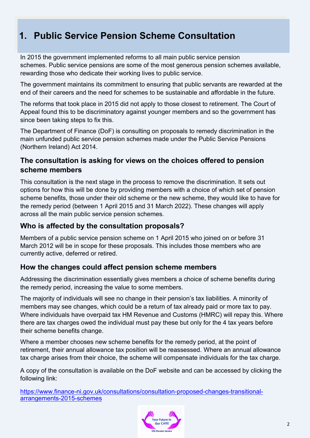## **1. Public Service Pension Scheme Consultation**

In 2015 the government implemented reforms to all main public service pension schemes. Public service pensions are some of the most generous pension schemes available, rewarding those who dedicate their working lives to public service.

The government maintains its commitment to ensuring that public servants are rewarded at the end of their careers and the need for schemes to be sustainable and affordable in the future.

The reforms that took place in 2015 did not apply to those closest to retirement. The Court of Appeal found this to be discriminatory against younger members and so the government has since been taking steps to fix this.

The Department of Finance (DoF) is consulting on proposals to remedy discrimination in the main unfunded public service pension schemes made under the Public Service Pensions (Northern Ireland) Act 2014.

### **The consultation is asking for views on the choices offered to pension scheme members**

This consultation is the next stage in the process to remove the discrimination. It sets out options for how this will be done by providing members with a choice of which set of pension scheme benefits, those under their old scheme or the new scheme, they would like to have for the remedy period (between 1 April 2015 and 31 March 2022). These changes will apply across all the main public service pension schemes.

### **Who is affected by the consultation proposals?**

Members of a public service pension scheme on 1 April 2015 who joined on or before 31 March 2012 will be in scope for these proposals. This includes those members who are currently active, deferred or retired.

### **How the changes could affect pension scheme members**

Addressing the discrimination essentially gives members a choice of scheme benefits during the remedy period, increasing the value to some members.

The majority of individuals will see no change in their pension's tax liabilities. A minority of members may see changes, which could be a return of tax already paid or more tax to pay. Where individuals have overpaid tax HM Revenue and Customs (HMRC) will repay this. Where there are tax charges owed the individual must pay these but only for the 4 tax years before their scheme benefits change.

Where a member chooses new scheme benefits for the remedy period, at the point of retirement, their annual allowance tax position will be reassessed. Where an annual allowance tax charge arises from their choice, the scheme will compensate individuals for the tax charge.

A copy of the consultation is available on the DoF website and can be accessed by clicking the following link:

https://www.finance-[ni.gov.uk/consultations/consultation](https://www.finance-ni.gov.uk/consultations/consultation-proposed-changes-transitional-arrangements-2015-schemes)-proposed-changes-transitional[arrangements](https://www.finance-ni.gov.uk/consultations/consultation-proposed-changes-transitional-arrangements-2015-schemes)-2015-schemes

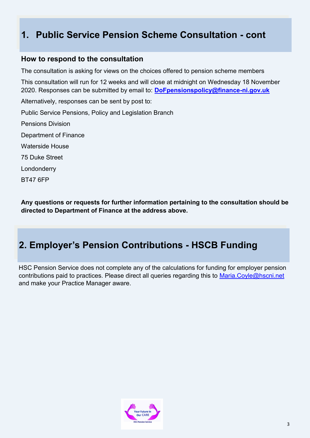## **1. Public Service Pension Scheme Consultation - cont**

#### **How to respond to the consultation**

The consultation is asking for views on the choices offered to pension scheme members This consultation will run for 12 weeks and will close at midnight on Wednesday 18 November 2020. Responses can be submitted by email to: **[DoFpensionspolicy@finance](mailto:DoFpensionspolicy@finance-ni.gov.uk)-ni.gov.uk**  Alternatively, responses can be sent by post to: Public Service Pensions, Policy and Legislation Branch Pensions Division Department of Finance Waterside House 75 Duke Street Londonderry BT47 6FP

**Any questions or requests for further information pertaining to the consultation should be directed to Department of Finance at the address above.** 

## **2. Employer's Pension Contributions - HSCB Funding**

HSC Pension Service does not complete any of the calculations for funding for employer pension contributions paid to practices. Please direct all queries regarding this to Maria.Coyle@hscni.net and make your Practice Manager aware.

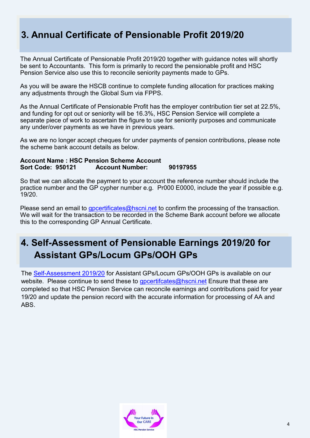## **3. Annual Certificate of Pensionable Profit 2019/20**

The Annual Certificate of Pensionable Profit 2019/20 together with guidance notes will shortly be sent to Accountants. This form is primarily to record the pensionable profit and HSC Pension Service also use this to reconcile seniority payments made to GPs.

As you will be aware the HSCB continue to complete funding allocation for practices making any adjustments through the Global Sum via FPPS.

As the Annual Certificate of Pensionable Profit has the employer contribution tier set at 22.5%, and funding for opt out or seniority will be 16.3%, HSC Pension Service will complete a separate piece of work to ascertain the figure to use for seniority purposes and communicate any under/over payments as we have in previous years.

As we are no longer accept cheques for under payments of pension contributions, please note the scheme bank account details as below.

#### **Account Name : HSC Pension Scheme Account Sort Code: 950121 Account Number: 90197955**

So that we can allocate the payment to your account the reference number should include the practice number and the GP cypher number e.g. Pr000 E0000, include the year if possible e.g. 19/20.

Please send an email to [gpcertificates@hscni.net](mailto:gpcertificates@hscni.net) to confirm the processing of the transaction. We will wait for the transaction to be recorded in the Scheme Bank account before we allocate this to the corresponding GP Annual Certificate.

## **4. Self-Assessment of Pensionable Earnings 2019/20 for Assistant GPs/Locum GPs/OOH GPs**

The Self-[Assessment 2019/20](http://www.hscpensions.hscni.net/download/Practitioners/2019-20-SELF-ASSESSMENT.xls) for Assistant GPs/Locum GPs/OOH GPs is available on our website. Please continue to send these to  $g$  pcertificates  $Q$  hscning Ensure that these are completed so that HSC Pension Service can reconcile earnings and contributions paid for year 19/20 and update the pension record with the accurate information for processing of AA and ABS.

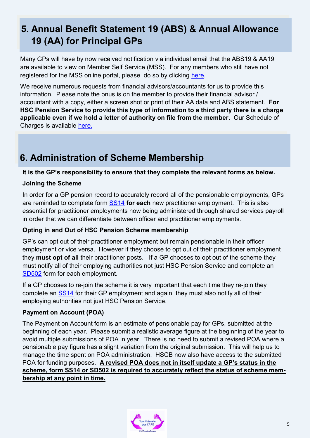# **5. Annual Benefit Statement 19 (ABS) & Annual Allowance 19 (AA) for Principal GPs**

Many GPs will have by now received notification via individual email that the ABS19 & AA19 are available to view on Member Self Service (MSS). For any members who still have not registered for the MSS online portal, please do so by clicking [here.](https://mypension.hscni.net/)

We receive numerous requests from financial advisors/accountants for us to provide this information. Please note the onus is on the member to provide their financial advisor / accountant with a copy, either a screen shot or print of their AA data and ABS statement. **For HSC Pension Service to provide this type of information to a third party there is a charge applicable even if we hold a letter of authority on file from the member.** Our Schedule of Charges is available [here.](http://www.hscpensions.hscni.net/download/Members/member_factsheets/Member-Schedule-of-Charges.pdf)

# **6. Administration of Scheme Membership**

#### **It is the GP's responsibility to ensure that they complete the relevant forms as below.**

#### **Joining the Scheme**

In order for a GP pension record to accurately record all of the pensionable employments, GPs are reminded to complete form [SS14](http://www.hscpensions.hscni.net/download/Scheme%20Forms/SS14-Oct-18-1.pdf) **for each** new practitioner employment. This is also essential for practitioner employments now being administered through shared services payroll in order that we can differentiate between officer and practitioner employments.

#### **Opting in and Out of HSC Pension Scheme membership**

GP's can opt out of their practitioner employment but remain pensionable in their officer employment or vice versa. However if they choose to opt out of their practitioner employment they **must opt of all** their practitioner posts. If a GP chooses to opt out of the scheme they must notify all of their employing authorities not just HSC Pension Service and complete an [SD502](http://www.hscpensions.hscni.net/download/Scheme%20Forms/member_forms/SD502-6.pdf) form for each employment.

If a GP chooses to re-join the scheme it is very important that each time they re-join they complete an [SS14](http://www.hscpensions.hscni.net/download/Scheme%20Forms/SS14-Oct-18-1.pdf) for their GP employment and again they must also notify all of their employing authorities not just HSC Pension Service.

#### **Payment on Account (POA)**

The Payment on Account form is an estimate of pensionable pay for GPs, submitted at the beginning of each year. Please submit a realistic average figure at the beginning of the year to avoid multiple submissions of POA in year. There is no need to submit a revised POA where a pensionable pay figure has a slight variation from the original submission. This will help us to manage the time spent on POA administration. HSCB now also have access to the submitted POA for funding purposes. **A revised POA does not in itself update a GP's status in the scheme, form SS14 or SD502 is required to accurately reflect the status of scheme membership at any point in time.**